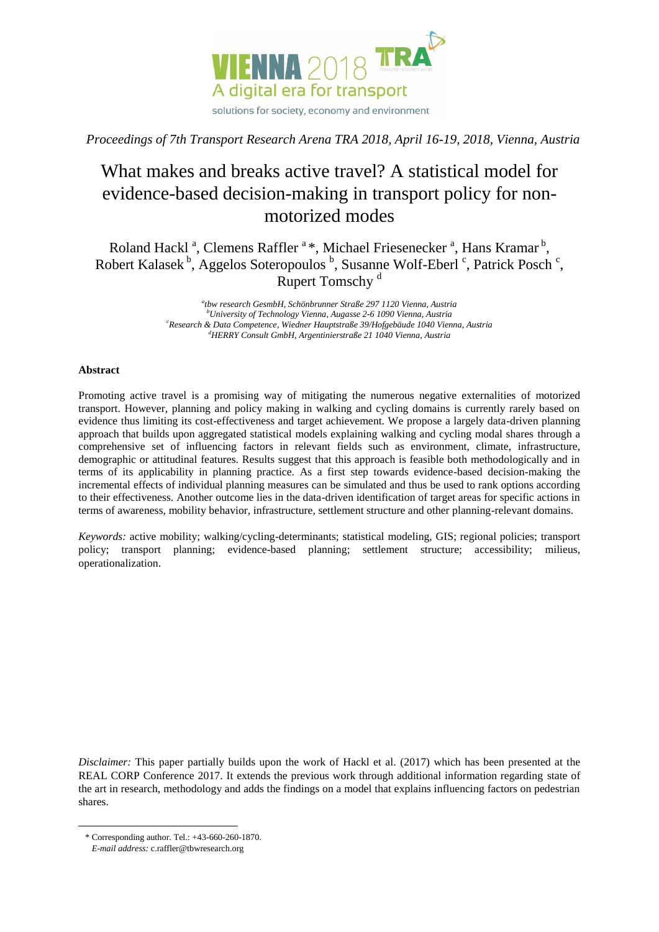

*Proceedings of 7th Transport Research Arena TRA 2018, April 16-19, 2018, Vienna, Austria*

# What makes and breaks active travel? A statistical model for evidence-based decision-making in transport policy for nonmotorized modes

Roland Hackl<sup>a</sup>, Clemens Raffler<sup>a</sup>\*, Michael Friesenecker<sup>a</sup>, Hans Kramar<sup>b</sup>, Robert Kalasek<sup>b</sup>, Aggelos Soteropoulos <sup>b</sup>, Susanne Wolf-Eberl <sup>c</sup>, Patrick Posch <sup>c</sup>, Rupert Tomschy<sup>d</sup>

> *a tbw research GesmbH, Schönbrunner Straße 297 1120 Vienna, Austria <sup>b</sup>University of Technology Vienna, Augasse 2-6 1090 Vienna, Austria <sup>c</sup>Research & Data Competence, Wiedner Hauptstraße 39/Hofgebäude 1040 Vienna, Austria <sup>d</sup>HERRY Consult GmbH, Argentinierstraße 21 1040 Vienna, Austria*

# **Abstract**

Promoting active travel is a promising way of mitigating the numerous negative externalities of motorized transport. However, planning and policy making in walking and cycling domains is currently rarely based on evidence thus limiting its cost-effectiveness and target achievement. We propose a largely data-driven planning approach that builds upon aggregated statistical models explaining walking and cycling modal shares through a comprehensive set of influencing factors in relevant fields such as environment, climate, infrastructure, demographic or attitudinal features. Results suggest that this approach is feasible both methodologically and in terms of its applicability in planning practice. As a first step towards evidence-based decision-making the incremental effects of individual planning measures can be simulated and thus be used to rank options according to their effectiveness. Another outcome lies in the data-driven identification of target areas for specific actions in terms of awareness, mobility behavior, infrastructure, settlement structure and other planning-relevant domains.

*Keywords:* active mobility; walking/cycling-determinants; statistical modeling, GIS; regional policies; transport policy; transport planning; evidence-based planning; settlement structure; accessibility; milieus, operationalization.

*Disclaimer:* This paper partially builds upon the work of Hackl et al. (2017) which has been presented at the REAL CORP Conference 2017. It extends the previous work through additional information regarding state of the art in research, methodology and adds the findings on a model that explains influencing factors on pedestrian shares.

 $\overline{a}$ 

<sup>\*</sup> Corresponding author. Tel.: +43-660-260-1870.

*E-mail address:* c.raffler@tbwresearch.org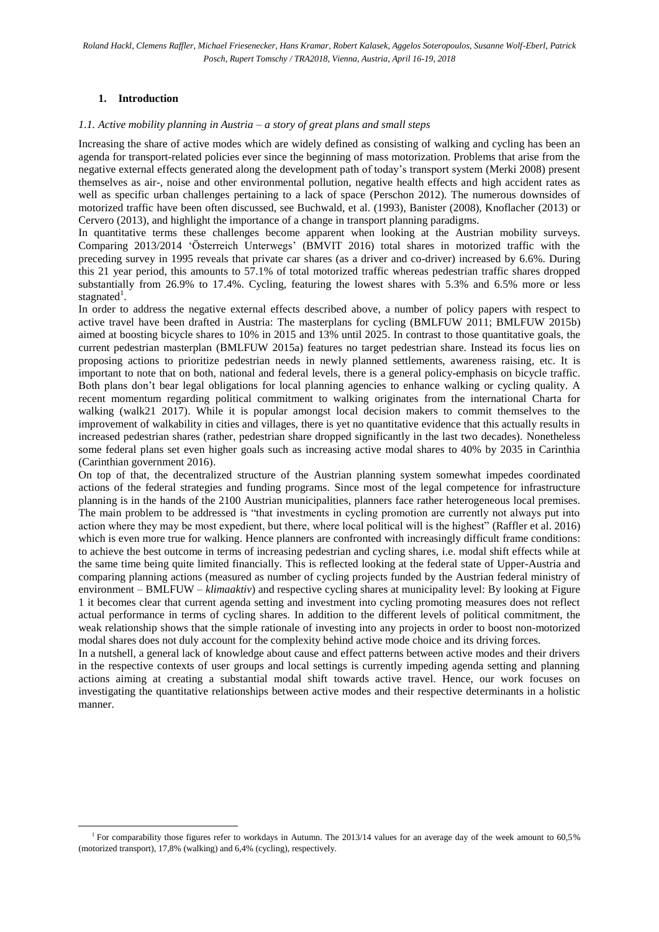# **1. Introduction**

 $\overline{a}$ 

## *1.1. Active mobility planning in Austria – a story of great plans and small steps*

Increasing the share of active modes which are widely defined as consisting of walking and cycling has been an agenda for transport-related policies ever since the beginning of mass motorization. Problems that arise from the negative external effects generated along the development path of today's transport system (Merki 2008) present themselves as air-, noise and other environmental pollution, negative health effects and high accident rates as well as specific urban challenges pertaining to a lack of space (Perschon 2012). The numerous downsides of motorized traffic have been often discussed, see Buchwald, et al. (1993), Banister (2008), Knoflacher (2013) or Cervero (2013), and highlight the importance of a change in transport planning paradigms.

In quantitative terms these challenges become apparent when looking at the Austrian mobility surveys. Comparing 2013/2014 'Österreich Unterwegs' (BMVIT 2016) total shares in motorized traffic with the preceding survey in 1995 reveals that private car shares (as a driver and co-driver) increased by 6.6%. During this 21 year period, this amounts to 57.1% of total motorized traffic whereas pedestrian traffic shares dropped substantially from 26.9% to 17.4%. Cycling, featuring the lowest shares with 5.3% and 6.5% more or less stagnated<sup>1</sup>.

In order to address the negative external effects described above, a number of policy papers with respect to active travel have been drafted in Austria: The masterplans for cycling (BMLFUW 2011; BMLFUW 2015b) aimed at boosting bicycle shares to 10% in 2015 and 13% until 2025. In contrast to those quantitative goals, the current pedestrian masterplan (BMLFUW 2015a) features no target pedestrian share. Instead its focus lies on proposing actions to prioritize pedestrian needs in newly planned settlements, awareness raising, etc. It is important to note that on both, national and federal levels, there is a general policy-emphasis on bicycle traffic. Both plans don't bear legal obligations for local planning agencies to enhance walking or cycling quality. A recent momentum regarding political commitment to walking originates from the international Charta for walking (walk21 2017). While it is popular amongst local decision makers to commit themselves to the improvement of walkability in cities and villages, there is yet no quantitative evidence that this actually results in increased pedestrian shares (rather, pedestrian share dropped significantly in the last two decades). Nonetheless some federal plans set even higher goals such as increasing active modal shares to 40% by 2035 in Carinthia (Carinthian government 2016).

On top of that, the decentralized structure of the Austrian planning system somewhat impedes coordinated actions of the federal strategies and funding programs. Since most of the legal competence for infrastructure planning is in the hands of the 2100 Austrian municipalities, planners face rather heterogeneous local premises. The main problem to be addressed is "that investments in cycling promotion are currently not always put into action where they may be most expedient, but there, where local political will is the highest" (Raffler et al. 2016) which is even more true for walking. Hence planners are confronted with increasingly difficult frame conditions: to achieve the best outcome in terms of increasing pedestrian and cycling shares, i.e. modal shift effects while at the same time being quite limited financially. This is reflected looking at the federal state of Upper-Austria and comparing planning actions (measured as number of cycling projects funded by the Austrian federal ministry of environment – BMLFUW – *klimaaktiv*) and respective cycling shares at municipality level: By looking at Figure 1 it becomes clear that current agenda setting and investment into cycling promoting measures does not reflect actual performance in terms of cycling shares. In addition to the different levels of political commitment, the weak relationship shows that the simple rationale of investing into any projects in order to boost non-motorized modal shares does not duly account for the complexity behind active mode choice and its driving forces.

In a nutshell, a general lack of knowledge about cause and effect patterns between active modes and their drivers in the respective contexts of user groups and local settings is currently impeding agenda setting and planning actions aiming at creating a substantial modal shift towards active travel. Hence, our work focuses on investigating the quantitative relationships between active modes and their respective determinants in a holistic manner.

<sup>&</sup>lt;sup>1</sup> For comparability those figures refer to workdays in Autumn. The 2013/14 values for an average day of the week amount to 60,5% (motorized transport), 17,8% (walking) and 6,4% (cycling), respectively.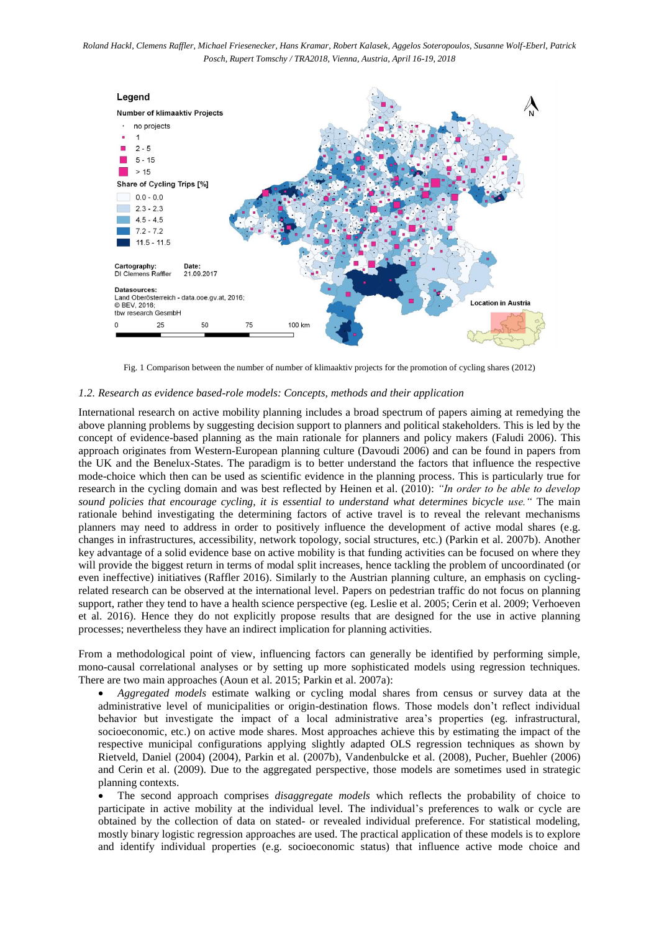

Fig. 1 Comparison between the number of number of klimaaktiv projects for the promotion of cycling shares (2012)

#### *1.2. Research as evidence based-role models: Concepts, methods and their application*

International research on active mobility planning includes a broad spectrum of papers aiming at remedying the above planning problems by suggesting decision support to planners and political stakeholders. This is led by the concept of evidence-based planning as the main rationale for planners and policy makers (Faludi 2006). This approach originates from Western-European planning culture (Davoudi 2006) and can be found in papers from the UK and the Benelux-States. The paradigm is to better understand the factors that influence the respective mode-choice which then can be used as scientific evidence in the planning process. This is particularly true for research in the cycling domain and was best reflected by Heinen et al. (2010): *"In order to be able to develop sound policies that encourage cycling, it is essential to understand what determines bicycle use."* The main rationale behind investigating the determining factors of active travel is to reveal the relevant mechanisms planners may need to address in order to positively influence the development of active modal shares (e.g. changes in infrastructures, accessibility, network topology, social structures, etc.) (Parkin et al. 2007b). Another key advantage of a solid evidence base on active mobility is that funding activities can be focused on where they will provide the biggest return in terms of modal split increases, hence tackling the problem of uncoordinated (or even ineffective) initiatives (Raffler 2016). Similarly to the Austrian planning culture, an emphasis on cyclingrelated research can be observed at the international level. Papers on pedestrian traffic do not focus on planning support, rather they tend to have a health science perspective (eg. Leslie et al. 2005; Cerin et al. 2009; Verhoeven et al. 2016). Hence they do not explicitly propose results that are designed for the use in active planning processes; nevertheless they have an indirect implication for planning activities.

From a methodological point of view, influencing factors can generally be identified by performing simple, mono-causal correlational analyses or by setting up more sophisticated models using regression techniques. There are two main approaches (Aoun et al. 2015; Parkin et al. 2007a):

 *Aggregated models* estimate walking or cycling modal shares from census or survey data at the administrative level of municipalities or origin-destination flows. Those models don't reflect individual behavior but investigate the impact of a local administrative area's properties (eg. infrastructural, socioeconomic, etc.) on active mode shares. Most approaches achieve this by estimating the impact of the respective municipal configurations applying slightly adapted OLS regression techniques as shown by Rietveld, Daniel (2004) (2004), Parkin et al. (2007b), Vandenbulcke et al. (2008), Pucher, Buehler (2006) and Cerin et al. (2009). Due to the aggregated perspective, those models are sometimes used in strategic planning contexts.

 The second approach comprises *disaggregate models* which reflects the probability of choice to participate in active mobility at the individual level. The individual's preferences to walk or cycle are obtained by the collection of data on stated- or revealed individual preference. For statistical modeling, mostly binary logistic regression approaches are used. The practical application of these models is to explore and identify individual properties (e.g. socioeconomic status) that influence active mode choice and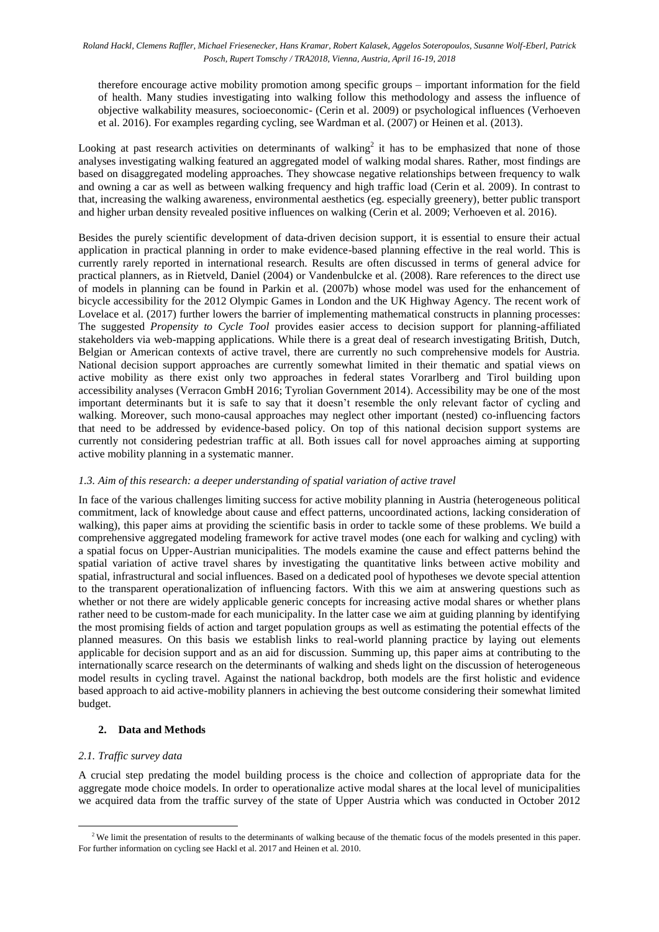therefore encourage active mobility promotion among specific groups – important information for the field of health. Many studies investigating into walking follow this methodology and assess the influence of objective walkability measures, socioeconomic- (Cerin et al. 2009) or psychological influences (Verhoeven et al. 2016). For examples regarding cycling, see Wardman et al. (2007) or Heinen et al. (2013).

Looking at past research activities on determinants of walking<sup>2</sup> it has to be emphasized that none of those analyses investigating walking featured an aggregated model of walking modal shares. Rather, most findings are based on disaggregated modeling approaches. They showcase negative relationships between frequency to walk and owning a car as well as between walking frequency and high traffic load (Cerin et al. 2009). In contrast to that, increasing the walking awareness, environmental aesthetics (eg. especially greenery), better public transport and higher urban density revealed positive influences on walking (Cerin et al. 2009; Verhoeven et al. 2016).

Besides the purely scientific development of data-driven decision support, it is essential to ensure their actual application in practical planning in order to make evidence-based planning effective in the real world. This is currently rarely reported in international research. Results are often discussed in terms of general advice for practical planners, as in Rietveld, Daniel (2004) or Vandenbulcke et al. (2008). Rare references to the direct use of models in planning can be found in Parkin et al. (2007b) whose model was used for the enhancement of bicycle accessibility for the 2012 Olympic Games in London and the UK Highway Agency. The recent work of Lovelace et al. (2017) further lowers the barrier of implementing mathematical constructs in planning processes: The suggested *Propensity to Cycle Tool* provides easier access to decision support for planning-affiliated stakeholders via web-mapping applications. While there is a great deal of research investigating British, Dutch, Belgian or American contexts of active travel, there are currently no such comprehensive models for Austria. National decision support approaches are currently somewhat limited in their thematic and spatial views on active mobility as there exist only two approaches in federal states Vorarlberg and Tirol building upon accessibility analyses (Verracon GmbH 2016; Tyrolian Government 2014). Accessibility may be one of the most important determinants but it is safe to say that it doesn't resemble the only relevant factor of cycling and walking. Moreover, such mono-causal approaches may neglect other important (nested) co-influencing factors that need to be addressed by evidence-based policy. On top of this national decision support systems are currently not considering pedestrian traffic at all. Both issues call for novel approaches aiming at supporting active mobility planning in a systematic manner.

# *1.3. Aim of this research: a deeper understanding of spatial variation of active travel*

In face of the various challenges limiting success for active mobility planning in Austria (heterogeneous political commitment, lack of knowledge about cause and effect patterns, uncoordinated actions, lacking consideration of walking), this paper aims at providing the scientific basis in order to tackle some of these problems. We build a comprehensive aggregated modeling framework for active travel modes (one each for walking and cycling) with a spatial focus on Upper-Austrian municipalities. The models examine the cause and effect patterns behind the spatial variation of active travel shares by investigating the quantitative links between active mobility and spatial, infrastructural and social influences. Based on a dedicated pool of hypotheses we devote special attention to the transparent operationalization of influencing factors. With this we aim at answering questions such as whether or not there are widely applicable generic concepts for increasing active modal shares or whether plans rather need to be custom-made for each municipality. In the latter case we aim at guiding planning by identifying the most promising fields of action and target population groups as well as estimating the potential effects of the planned measures. On this basis we establish links to real-world planning practice by laying out elements applicable for decision support and as an aid for discussion. Summing up, this paper aims at contributing to the internationally scarce research on the determinants of walking and sheds light on the discussion of heterogeneous model results in cycling travel. Against the national backdrop, both models are the first holistic and evidence based approach to aid active-mobility planners in achieving the best outcome considering their somewhat limited budget.

# **2. Data and Methods**

# *2.1. Traffic survey data*

 $\overline{a}$ 

A crucial step predating the model building process is the choice and collection of appropriate data for the aggregate mode choice models. In order to operationalize active modal shares at the local level of municipalities we acquired data from the traffic survey of the state of Upper Austria which was conducted in October 2012

<sup>&</sup>lt;sup>2</sup> We limit the presentation of results to the determinants of walking because of the thematic focus of the models presented in this paper. For further information on cycling see Hackl et al. 2017 and Heinen et al. 2010.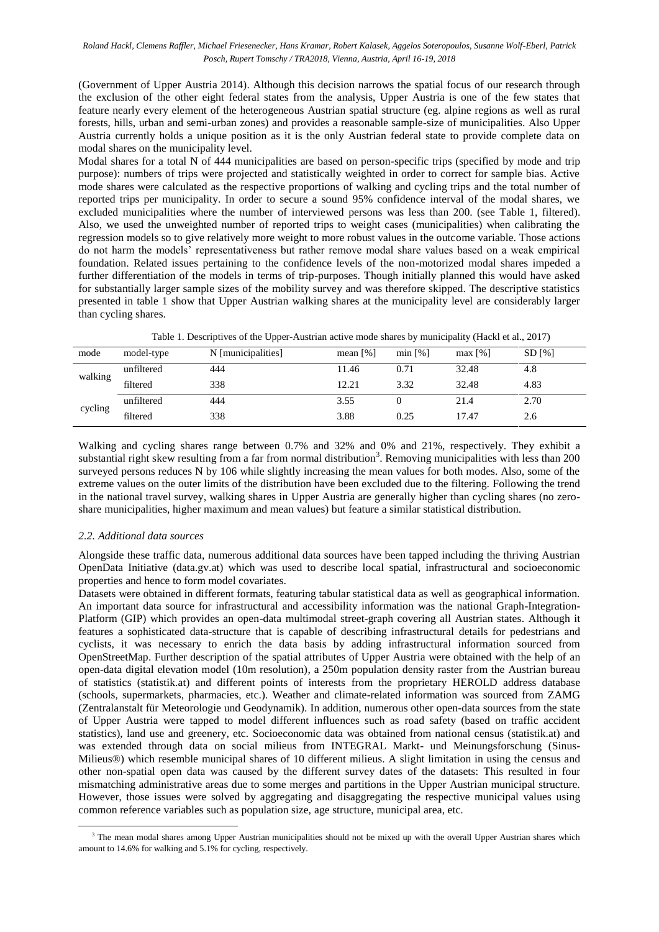(Government of Upper Austria 2014). Although this decision narrows the spatial focus of our research through the exclusion of the other eight federal states from the analysis, Upper Austria is one of the few states that feature nearly every element of the heterogeneous Austrian spatial structure (eg. alpine regions as well as rural forests, hills, urban and semi-urban zones) and provides a reasonable sample-size of municipalities. Also Upper Austria currently holds a unique position as it is the only Austrian federal state to provide complete data on modal shares on the municipality level.

Modal shares for a total N of 444 municipalities are based on person-specific trips (specified by mode and trip purpose): numbers of trips were projected and statistically weighted in order to correct for sample bias. Active mode shares were calculated as the respective proportions of walking and cycling trips and the total number of reported trips per municipality. In order to secure a sound 95% confidence interval of the modal shares, we excluded municipalities where the number of interviewed persons was less than 200. (see Table 1, filtered). Also, we used the unweighted number of reported trips to weight cases (municipalities) when calibrating the regression models so to give relatively more weight to more robust values in the outcome variable. Those actions do not harm the models' representativeness but rather remove modal share values based on a weak empirical foundation. Related issues pertaining to the confidence levels of the non-motorized modal shares impeded a further differentiation of the models in terms of trip-purposes. Though initially planned this would have asked for substantially larger sample sizes of the mobility survey and was therefore skipped. The descriptive statistics presented in table 1 show that Upper Austrian walking shares at the municipality level are considerably larger than cycling shares.

| mode    | model-type | N [municipalities] | mean $\lceil \% \rceil$ | min [%] | $max$ [%] | $SD$ [%] |
|---------|------------|--------------------|-------------------------|---------|-----------|----------|
| walking | unfiltered | 444                | 11.46                   | 0.71    | 32.48     | 4.8      |
|         | filtered   | 338                | 12.21                   | 3.32    | 32.48     | 4.83     |
| cycling | unfiltered | 444                | 3.55                    |         | 21.4      | 2.70     |
|         | filtered   | 338                | 3.88                    | 0.25    | 17.47     | 2.6      |

Table 1. Descriptives of the Upper-Austrian active mode shares by municipality (Hackl et al., 2017)

Walking and cycling shares range between 0.7% and 32% and 0% and 21%, respectively. They exhibit a substantial right skew resulting from a far from normal distribution<sup>3</sup>. Removing municipalities with less than  $200$ surveyed persons reduces N by 106 while slightly increasing the mean values for both modes. Also, some of the extreme values on the outer limits of the distribution have been excluded due to the filtering. Following the trend in the national travel survey, walking shares in Upper Austria are generally higher than cycling shares (no zeroshare municipalities, higher maximum and mean values) but feature a similar statistical distribution.

# *2.2. Additional data sources*

 $\overline{a}$ 

Alongside these traffic data, numerous additional data sources have been tapped including the thriving Austrian OpenData Initiative (data.gv.at) which was used to describe local spatial, infrastructural and socioeconomic properties and hence to form model covariates.

Datasets were obtained in different formats, featuring tabular statistical data as well as geographical information. An important data source for infrastructural and accessibility information was the national Graph-Integration-Platform (GIP) which provides an open-data multimodal street-graph covering all Austrian states. Although it features a sophisticated data-structure that is capable of describing infrastructural details for pedestrians and cyclists, it was necessary to enrich the data basis by adding infrastructural information sourced from OpenStreetMap. Further description of the spatial attributes of Upper Austria were obtained with the help of an open-data digital elevation model (10m resolution), a 250m population density raster from the Austrian bureau of statistics (statistik.at) and different points of interests from the proprietary HEROLD address database (schools, supermarkets, pharmacies, etc.). Weather and climate-related information was sourced from ZAMG (Zentralanstalt für Meteorologie und Geodynamik). In addition, numerous other open-data sources from the state of Upper Austria were tapped to model different influences such as road safety (based on traffic accident statistics), land use and greenery, etc. Socioeconomic data was obtained from national census (statistik.at) and was extended through data on social milieus from INTEGRAL Markt- und Meinungsforschung (Sinus-Milieus®) which resemble municipal shares of 10 different milieus. A slight limitation in using the census and other non-spatial open data was caused by the different survey dates of the datasets: This resulted in four mismatching administrative areas due to some merges and partitions in the Upper Austrian municipal structure. However, those issues were solved by aggregating and disaggregating the respective municipal values using common reference variables such as population size, age structure, municipal area, etc.

<sup>&</sup>lt;sup>3</sup> The mean modal shares among Upper Austrian municipalities should not be mixed up with the overall Upper Austrian shares which amount to 14.6% for walking and 5.1% for cycling, respectively.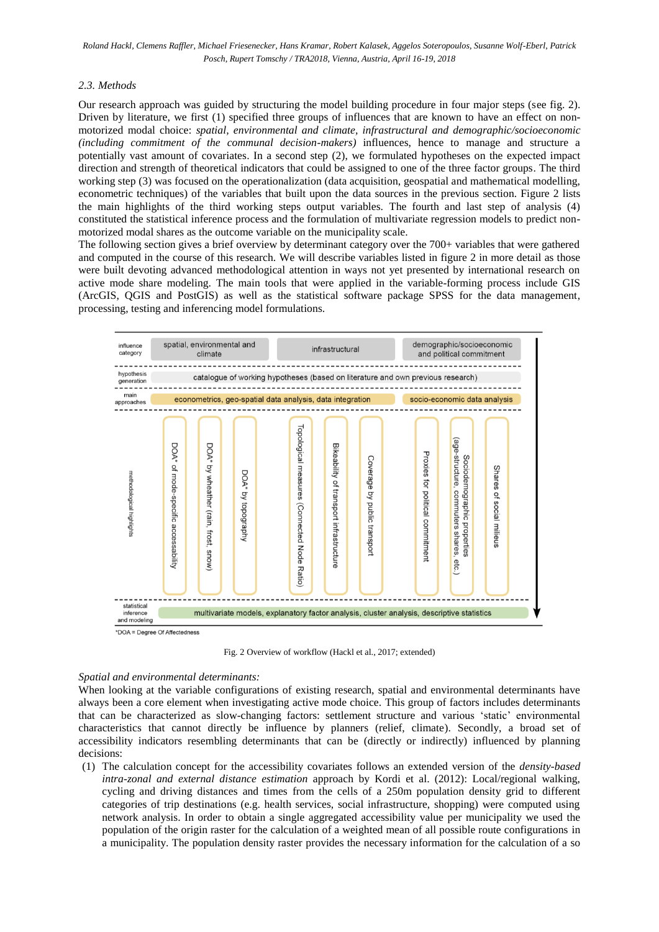## *2.3. Methods*

Our research approach was guided by structuring the model building procedure in four major steps (see fig. 2). Driven by literature, we first (1) specified three groups of influences that are known to have an effect on nonmotorized modal choice: *spatial, environmental and climate, infrastructural and demographic/socioeconomic (including commitment of the communal decision-makers)* influences, hence to manage and structure a potentially vast amount of covariates. In a second step (2), we formulated hypotheses on the expected impact direction and strength of theoretical indicators that could be assigned to one of the three factor groups. The third working step (3) was focused on the operationalization (data acquisition, geospatial and mathematical modelling, econometric techniques) of the variables that built upon the data sources in the previous section. Figure 2 lists the main highlights of the third working steps output variables. The fourth and last step of analysis (4) constituted the statistical inference process and the formulation of multivariate regression models to predict nonmotorized modal shares as the outcome variable on the municipality scale.

The following section gives a brief overview by determinant category over the 700+ variables that were gathered and computed in the course of this research. We will describe variables listed in figure 2 in more detail as those were built devoting advanced methodological attention in ways not yet presented by international research on active mode share modeling. The main tools that were applied in the variable-forming process include GIS (ArcGIS, QGIS and PostGIS) as well as the statistical software package SPSS for the data management, processing, testing and inferencing model formulations.



Fig. 2 Overview of workflow (Hackl et al., 2017; extended)

### *Spatial and environmental determinants:*

When looking at the variable configurations of existing research, spatial and environmental determinants have always been a core element when investigating active mode choice. This group of factors includes determinants that can be characterized as slow-changing factors: settlement structure and various 'static' environmental characteristics that cannot directly be influence by planners (relief, climate). Secondly, a broad set of accessibility indicators resembling determinants that can be (directly or indirectly) influenced by planning decisions:

(1) The calculation concept for the accessibility covariates follows an extended version of the *density-based intra-zonal and external distance estimation* approach by Kordi et al. (2012): Local/regional walking, cycling and driving distances and times from the cells of a 250m population density grid to different categories of trip destinations (e.g. health services, social infrastructure, shopping) were computed using network analysis. In order to obtain a single aggregated accessibility value per municipality we used the population of the origin raster for the calculation of a weighted mean of all possible route configurations in a municipality. The population density raster provides the necessary information for the calculation of a so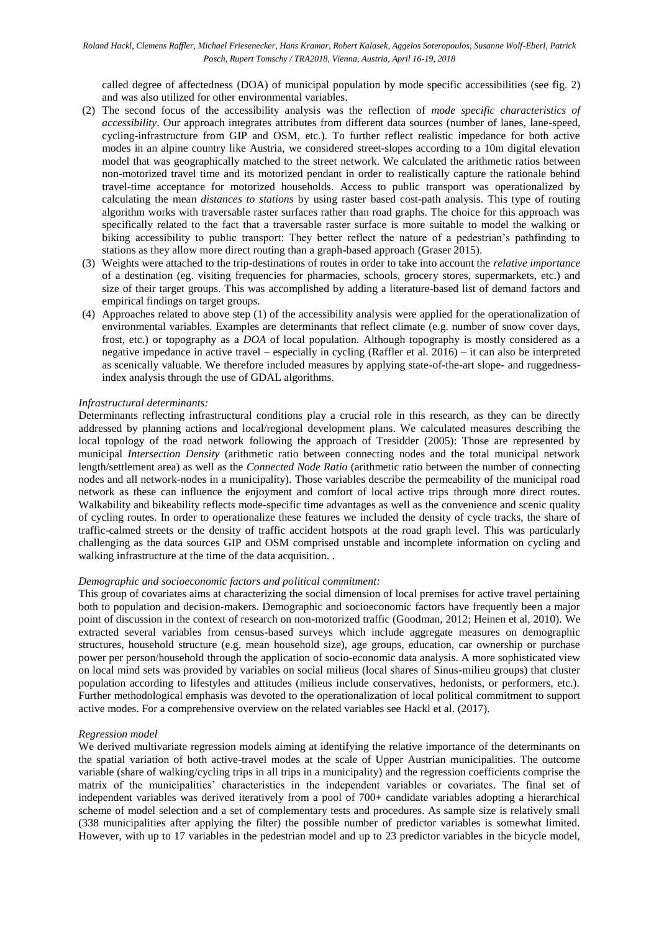called degree of affectedness (DOA) of municipal population by mode specific accessibilities (see fig. 2) and was also utilized for other environmental variables.

- (2) The second focus of the accessibility analysis was the reflection of *mode specific characteristics of accessibility*. Our approach integrates attributes from different data sources (number of lanes, lane-speed, cycling-infrastructure from GIP and OSM, etc.). To further reflect realistic impedance for both active modes in an alpine country like Austria, we considered street-slopes according to a 10m digital elevation model that was geographically matched to the street network. We calculated the arithmetic ratios between non-motorized travel time and its motorized pendant in order to realistically capture the rationale behind travel-time acceptance for motorized households. Access to public transport was operationalized by calculating the mean *distances to stations* by using raster based cost-path analysis. This type of routing algorithm works with traversable raster surfaces rather than road graphs. The choice for this approach was specifically related to the fact that a traversable raster surface is more suitable to model the walking or biking accessibility to public transport: They better reflect the nature of a pedestrian's pathfinding to stations as they allow more direct routing than a graph-based approach (Graser 2015).
- (3) Weights were attached to the trip-destinations of routes in order to take into account the *relative importance* of a destination (eg. visiting frequencies for pharmacies, schools, grocery stores, supermarkets, etc.) and size of their target groups. This was accomplished by adding a literature-based list of demand factors and empirical findings on target groups.
- (4) Approaches related to above step (1) of the accessibility analysis were applied for the operationalization of environmental variables. Examples are determinants that reflect climate (e.g. number of snow cover days, frost, etc.) or topography as a *DOA* of local population. Although topography is mostly considered as a negative impedance in active travel – especially in cycling (Raffler et al. 2016) – it can also be interpreted as scenically valuable. We therefore included measures by applying state-of-the-art slope- and ruggednessindex analysis through the use of GDAL algorithms.

## *Infrastructural determinants:*

Determinants reflecting infrastructural conditions play a crucial role in this research, as they can be directly addressed by planning actions and local/regional development plans. We calculated measures describing the local topology of the road network following the approach of Tresidder (2005): Those are represented by municipal *Intersection Density* (arithmetic ratio between connecting nodes and the total municipal network length/settlement area) as well as the *Connected Node Ratio* (arithmetic ratio between the number of connecting nodes and all network-nodes in a municipality). Those variables describe the permeability of the municipal road network as these can influence the enjoyment and comfort of local active trips through more direct routes. Walkability and bikeability reflects mode-specific time advantages as well as the convenience and scenic quality of cycling routes. In order to operationalize these features we included the density of cycle tracks, the share of traffic-calmed streets or the density of traffic accident hotspots at the road graph level. This was particularly challenging as the data sources GIP and OSM comprised unstable and incomplete information on cycling and walking infrastructure at the time of the data acquisition. .

## *Demographic and socioeconomic factors and political commitment:*

This group of covariates aims at characterizing the social dimension of local premises for active travel pertaining both to population and decision-makers. Demographic and socioeconomic factors have frequently been a major point of discussion in the context of research on non-motorized traffic (Goodman, 2012; Heinen et al, 2010). We extracted several variables from census-based surveys which include aggregate measures on demographic structures, household structure (e.g. mean household size), age groups, education, car ownership or purchase power per person/household through the application of socio-economic data analysis. A more sophisticated view on local mind sets was provided by variables on social milieus (local shares of Sinus-milieu groups) that cluster population according to lifestyles and attitudes (milieus include conservatives, hedonists, or performers, etc.). Further methodological emphasis was devoted to the operationalization of local political commitment to support active modes. For a comprehensive overview on the related variables see Hackl et al. (2017).

## *Regression model*

We derived multivariate regression models aiming at identifying the relative importance of the determinants on the spatial variation of both active-travel modes at the scale of Upper Austrian municipalities. The outcome variable (share of walking/cycling trips in all trips in a municipality) and the regression coefficients comprise the matrix of the municipalities' characteristics in the independent variables or covariates. The final set of independent variables was derived iteratively from a pool of 700+ candidate variables adopting a hierarchical scheme of model selection and a set of complementary tests and procedures. As sample size is relatively small (338 municipalities after applying the filter) the possible number of predictor variables is somewhat limited. However, with up to 17 variables in the pedestrian model and up to 23 predictor variables in the bicycle model,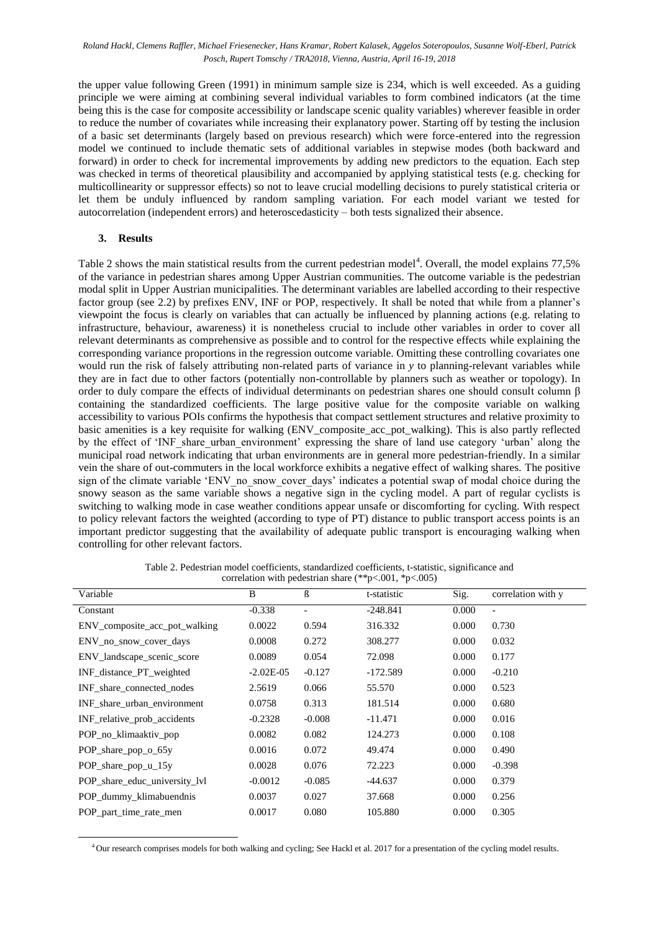the upper value following Green (1991) in minimum sample size is 234, which is well exceeded. As a guiding principle we were aiming at combining several individual variables to form combined indicators (at the time being this is the case for composite accessibility or landscape scenic quality variables) wherever feasible in order to reduce the number of covariates while increasing their explanatory power. Starting off by testing the inclusion of a basic set determinants (largely based on previous research) which were force-entered into the regression model we continued to include thematic sets of additional variables in stepwise modes (both backward and forward) in order to check for incremental improvements by adding new predictors to the equation. Each step was checked in terms of theoretical plausibility and accompanied by applying statistical tests (e.g. checking for multicollinearity or suppressor effects) so not to leave crucial modelling decisions to purely statistical criteria or let them be unduly influenced by random sampling variation. For each model variant we tested for autocorrelation (independent errors) and heteroscedasticity – both tests signalized their absence.

#### **3. Results**

 $\overline{a}$ 

Table 2 shows the main statistical results from the current pedestrian model<sup>4</sup>. Overall, the model explains  $77,5\%$ of the variance in pedestrian shares among Upper Austrian communities. The outcome variable is the pedestrian modal split in Upper Austrian municipalities. The determinant variables are labelled according to their respective factor group (see 2.2) by prefixes ENV, INF or POP, respectively. It shall be noted that while from a planner's viewpoint the focus is clearly on variables that can actually be influenced by planning actions (e.g. relating to infrastructure, behaviour, awareness) it is nonetheless crucial to include other variables in order to cover all relevant determinants as comprehensive as possible and to control for the respective effects while explaining the corresponding variance proportions in the regression outcome variable. Omitting these controlling covariates one would run the risk of falsely attributing non-related parts of variance in *y* to planning-relevant variables while they are in fact due to other factors (potentially non-controllable by planners such as weather or topology). In order to duly compare the effects of individual determinants on pedestrian shares one should consult column  $\beta$ containing the standardized coefficients. The large positive value for the composite variable on walking accessibility to various POIs confirms the hypothesis that compact settlement structures and relative proximity to basic amenities is a key requisite for walking (ENV\_composite\_acc\_pot\_walking). This is also partly reflected by the effect of 'INF share urban environment' expressing the share of land use category 'urban' along the municipal road network indicating that urban environments are in general more pedestrian-friendly. In a similar vein the share of out-commuters in the local workforce exhibits a negative effect of walking shares. The positive sign of the climate variable 'ENV no snow cover days' indicates a potential swap of modal choice during the snowy season as the same variable shows a negative sign in the cycling model. A part of regular cyclists is switching to walking mode in case weather conditions appear unsafe or discomforting for cycling. With respect to policy relevant factors the weighted (according to type of PT) distance to public transport access points is an important predictor suggesting that the availability of adequate public transport is encouraging walking when controlling for other relevant factors.

| Variable                      | B           | ß                        | t-statistic | Sig.  | correlation with y |
|-------------------------------|-------------|--------------------------|-------------|-------|--------------------|
| Constant                      | $-0.338$    | $\overline{\phantom{a}}$ | $-248.841$  | 0.000 | $\overline{a}$     |
| ENV_composite_acc_pot_walking | 0.0022      | 0.594                    | 316.332     | 0.000 | 0.730              |
| ENV no snow cover days        | 0.0008      | 0.272                    | 308.277     | 0.000 | 0.032              |
| ENV_landscape_scenic_score    | 0.0089      | 0.054                    | 72.098      | 0.000 | 0.177              |
| INF distance PT weighted      | $-2.02E-05$ | $-0.127$                 | $-172.589$  | 0.000 | $-0.210$           |
| INF share connected nodes     | 2.5619      | 0.066                    | 55.570      | 0.000 | 0.523              |
| INF share urban environment   | 0.0758      | 0.313                    | 181.514     | 0.000 | 0.680              |
| INF relative prob accidents   | $-0.2328$   | $-0.008$                 | $-11.471$   | 0.000 | 0.016              |
| POP no klimaaktiv pop         | 0.0082      | 0.082                    | 124.273     | 0.000 | 0.108              |
| POP share pop o 65y           | 0.0016      | 0.072                    | 49.474      | 0.000 | 0.490              |
| POP share pop $u_{15}$        | 0.0028      | 0.076                    | 72.223      | 0.000 | $-0.398$           |
| POP share educ university lyl | $-0.0012$   | $-0.085$                 | $-44.637$   | 0.000 | 0.379              |
| POP_dummy_klimabuendnis       | 0.0037      | 0.027                    | 37.668      | 0.000 | 0.256              |
| POP_part_time_rate_men        | 0.0017      | 0.080                    | 105.880     | 0.000 | 0.305              |
|                               |             |                          |             |       |                    |

Table 2. Pedestrian model coefficients, standardized coefficients, t-statistic, significance and correlation with pedestrian share (\*\*p<.001, \*p<.005)

<sup>4</sup> Our research comprises models for both walking and cycling; See Hackl et al. 2017 for a presentation of the cycling model results.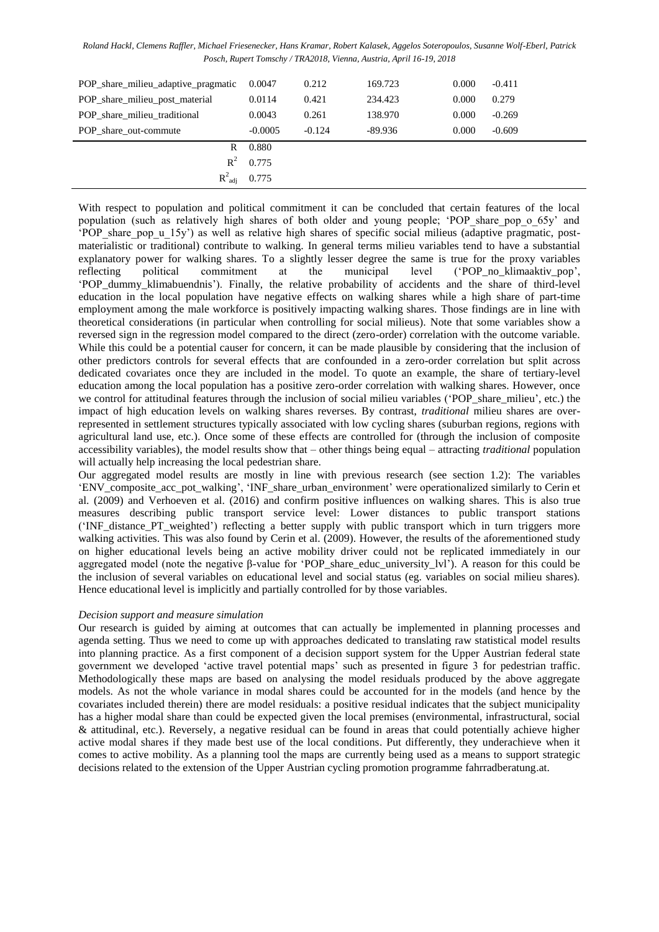*Roland Hackl, Clemens Raffler, Michael Friesenecker, Hans Kramar, Robert Kalasek, Aggelos Soteropoulos, Susanne Wolf-Eberl, Patrick Posch, Rupert Tomschy / TRA2018, Vienna, Austria, April 16-19, 2018*

| POP share milieu adaptive pragmatic | 0.0047    | 0.212    | 169.723   | 0.000 | $-0.411$ |
|-------------------------------------|-----------|----------|-----------|-------|----------|
| POP_share_milieu_post_material      | 0.0114    | 0.421    | 234.423   | 0.000 | 0.279    |
| POP share milieu traditional        | 0.0043    | 0.261    | 138.970   | 0.000 | $-0.269$ |
| POP share out-commute               | $-0.0005$ | $-0.124$ | $-89.936$ | 0.000 | $-0.609$ |
| R                                   | 0.880     |          |           |       |          |
| $R^2$                               | 0.775     |          |           |       |          |
| $R^2_{\text{adi}}$                  | 0.775     |          |           |       |          |

With respect to population and political commitment it can be concluded that certain features of the local population (such as relatively high shares of both older and young people; 'POP\_share\_pop\_o\_65y' and 'POP\_share\_pop\_u\_15y') as well as relative high shares of specific social milieus (adaptive pragmatic, postmaterialistic or traditional) contribute to walking. In general terms milieu variables tend to have a substantial explanatory power for walking shares. To a slightly lesser degree the same is true for the proxy variables reflecting political commitment at the municipal level ('POP no klimaaktiv pop', reflecting political commitment at the municipal level ('POP\_no\_klimaaktiv\_pop', 'POP\_dummy\_klimabuendnis'). Finally, the relative probability of accidents and the share of third-level education in the local population have negative effects on walking shares while a high share of part-time employment among the male workforce is positively impacting walking shares. Those findings are in line with theoretical considerations (in particular when controlling for social milieus). Note that some variables show a reversed sign in the regression model compared to the direct (zero-order) correlation with the outcome variable. While this could be a potential causer for concern, it can be made plausible by considering that the inclusion of other predictors controls for several effects that are confounded in a zero-order correlation but split across dedicated covariates once they are included in the model. To quote an example, the share of tertiary-level education among the local population has a positive zero-order correlation with walking shares. However, once we control for attitudinal features through the inclusion of social milieu variables ('POP\_share\_milieu', etc.) the impact of high education levels on walking shares reverses. By contrast, *traditional* milieu shares are overrepresented in settlement structures typically associated with low cycling shares (suburban regions, regions with agricultural land use, etc.). Once some of these effects are controlled for (through the inclusion of composite accessibility variables), the model results show that – other things being equal – attracting *traditional* population will actually help increasing the local pedestrian share.

Our aggregated model results are mostly in line with previous research (see section 1.2): The variables 'ENV\_composite\_acc\_pot\_walking', 'INF\_share\_urban\_environment' were operationalized similarly to Cerin et al. (2009) and Verhoeven et al. (2016) and confirm positive influences on walking shares. This is also true measures describing public transport service level: Lower distances to public transport stations ('INF\_distance\_PT\_weighted') reflecting a better supply with public transport which in turn triggers more walking activities. This was also found by Cerin et al. (2009). However, the results of the aforementioned study on higher educational levels being an active mobility driver could not be replicated immediately in our aggregated model (note the negative β-value for 'POP\_share\_educ\_university\_lvl'). A reason for this could be the inclusion of several variables on educational level and social status (eg. variables on social milieu shares). Hence educational level is implicitly and partially controlled for by those variables.

## *Decision support and measure simulation*

Our research is guided by aiming at outcomes that can actually be implemented in planning processes and agenda setting. Thus we need to come up with approaches dedicated to translating raw statistical model results into planning practice. As a first component of a decision support system for the Upper Austrian federal state government we developed 'active travel potential maps' such as presented in figure 3 for pedestrian traffic. Methodologically these maps are based on analysing the model residuals produced by the above aggregate models. As not the whole variance in modal shares could be accounted for in the models (and hence by the covariates included therein) there are model residuals: a positive residual indicates that the subject municipality has a higher modal share than could be expected given the local premises (environmental, infrastructural, social & attitudinal, etc.). Reversely, a negative residual can be found in areas that could potentially achieve higher active modal shares if they made best use of the local conditions. Put differently, they underachieve when it comes to active mobility. As a planning tool the maps are currently being used as a means to support strategic decisions related to the extension of the Upper Austrian cycling promotion programme fahrradberatung.at.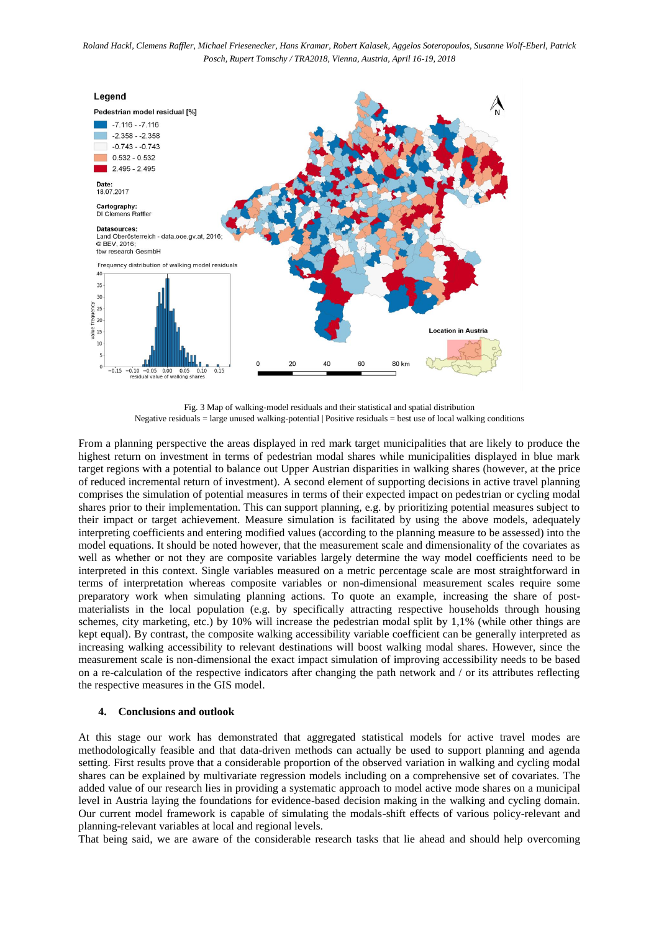

Fig. 3 Map of walking-model residuals and their statistical and spatial distribution Negative residuals = large unused walking-potential | Positive residuals = best use of local walking conditions

From a planning perspective the areas displayed in red mark target municipalities that are likely to produce the highest return on investment in terms of pedestrian modal shares while municipalities displayed in blue mark target regions with a potential to balance out Upper Austrian disparities in walking shares (however, at the price of reduced incremental return of investment). A second element of supporting decisions in active travel planning comprises the simulation of potential measures in terms of their expected impact on pedestrian or cycling modal shares prior to their implementation. This can support planning, e.g. by prioritizing potential measures subject to their impact or target achievement. Measure simulation is facilitated by using the above models, adequately interpreting coefficients and entering modified values (according to the planning measure to be assessed) into the model equations. It should be noted however, that the measurement scale and dimensionality of the covariates as well as whether or not they are composite variables largely determine the way model coefficients need to be interpreted in this context. Single variables measured on a metric percentage scale are most straightforward in terms of interpretation whereas composite variables or non-dimensional measurement scales require some preparatory work when simulating planning actions. To quote an example, increasing the share of postmaterialists in the local population (e.g. by specifically attracting respective households through housing schemes, city marketing, etc.) by 10% will increase the pedestrian modal split by 1,1% (while other things are kept equal). By contrast, the composite walking accessibility variable coefficient can be generally interpreted as increasing walking accessibility to relevant destinations will boost walking modal shares. However, since the measurement scale is non-dimensional the exact impact simulation of improving accessibility needs to be based on a re-calculation of the respective indicators after changing the path network and / or its attributes reflecting the respective measures in the GIS model.

## **4. Conclusions and outlook**

At this stage our work has demonstrated that aggregated statistical models for active travel modes are methodologically feasible and that data-driven methods can actually be used to support planning and agenda setting. First results prove that a considerable proportion of the observed variation in walking and cycling modal shares can be explained by multivariate regression models including on a comprehensive set of covariates. The added value of our research lies in providing a systematic approach to model active mode shares on a municipal level in Austria laying the foundations for evidence-based decision making in the walking and cycling domain. Our current model framework is capable of simulating the modals-shift effects of various policy-relevant and planning-relevant variables at local and regional levels.

That being said, we are aware of the considerable research tasks that lie ahead and should help overcoming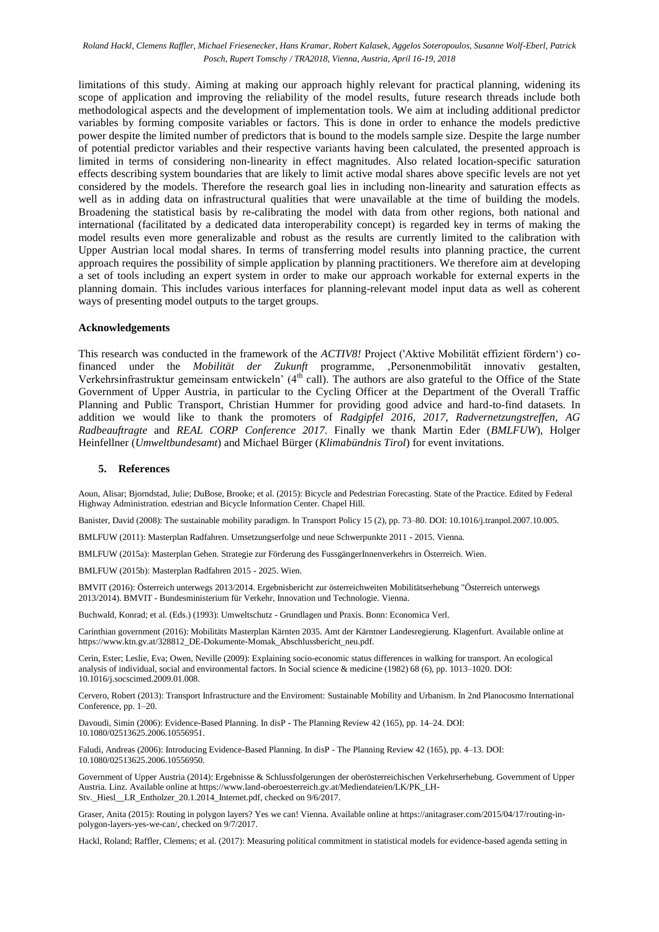limitations of this study. Aiming at making our approach highly relevant for practical planning, widening its scope of application and improving the reliability of the model results, future research threads include both methodological aspects and the development of implementation tools. We aim at including additional predictor variables by forming composite variables or factors. This is done in order to enhance the models predictive power despite the limited number of predictors that is bound to the models sample size. Despite the large number of potential predictor variables and their respective variants having been calculated, the presented approach is limited in terms of considering non-linearity in effect magnitudes. Also related location-specific saturation effects describing system boundaries that are likely to limit active modal shares above specific levels are not yet considered by the models. Therefore the research goal lies in including non-linearity and saturation effects as well as in adding data on infrastructural qualities that were unavailable at the time of building the models. Broadening the statistical basis by re-calibrating the model with data from other regions, both national and international (facilitated by a dedicated data interoperability concept) is regarded key in terms of making the model results even more generalizable and robust as the results are currently limited to the calibration with Upper Austrian local modal shares. In terms of transferring model results into planning practice, the current approach requires the possibility of simple application by planning practitioners. We therefore aim at developing a set of tools including an expert system in order to make our approach workable for external experts in the planning domain. This includes various interfaces for planning-relevant model input data as well as coherent ways of presenting model outputs to the target groups.

#### **Acknowledgements**

This research was conducted in the framework of the *ACTIV8!* Project ('Aktive Mobilität effizient fördern') cofinanced under the *Mobilität der Zukunft* programme, 'Personenmobilität innovativ gestalten, Verkehrsinfrastruktur gemeinsam entwickeln' ( $4<sup>th</sup>$  call). The authors are also grateful to the Office of the State Government of Upper Austria, in particular to the Cycling Officer at the Department of the Overall Traffic Planning and Public Transport, Christian Hummer for providing good advice and hard-to-find datasets. In addition we would like to thank the promoters of *Radgipfel 2016, 2017*, *Radvernetzungstreffen*, *AG Radbeauftragte* and *REAL CORP Conference 2017*. Finally we thank Martin Eder (*BMLFUW*), Holger Heinfellner (*Umweltbundesamt*) and Michael Bürger (*Klimabündnis Tirol*) for event invitations.

### **5. References**

Aoun, Alisar; Bjorndstad, Julie; DuBose, Brooke; et al. (2015): Bicycle and Pedestrian Forecasting. State of the Practice. Edited by Federal Highway Administration. edestrian and Bicycle Information Center. Chapel Hill.

Banister, David (2008): The sustainable mobility paradigm. In Transport Policy 15 (2), pp. 73–80. DOI: 10.1016/j.tranpol.2007.10.005.

BMLFUW (2011): Masterplan Radfahren. Umsetzungserfolge und neue Schwerpunkte 2011 - 2015. Vienna.

BMLFUW (2015a): Masterplan Gehen. Strategie zur Förderung des FussgängerInnenverkehrs in Österreich. Wien.

BMLFUW (2015b): Masterplan Radfahren 2015 - 2025. Wien.

BMVIT (2016): Österreich unterwegs 2013/2014. Ergebnisbericht zur österreichweiten Mobilitätserhebung "Österreich unterwegs 2013/2014). BMVIT - Bundesministerium für Verkehr, Innovation und Technologie. Vienna.

Buchwald, Konrad; et al. (Eds.) (1993): Umweltschutz - Grundlagen und Praxis. Bonn: Economica Verl.

Carinthian government (2016): Mobilitäts Masterplan Kärnten 2035. Amt der Kärntner Landesregierung. Klagenfurt. Available online at https://www.ktn.gv.at/328812\_DE-Dokumente-Momak\_Abschlussbericht\_neu.pdf.

Cerin, Ester; Leslie, Eva; Owen, Neville (2009): Explaining socio-economic status differences in walking for transport. An ecological analysis of individual, social and environmental factors. In Social science & medicine (1982) 68 (6), pp. 1013–1020. DOI: 10.1016/j.socscimed.2009.01.008.

Cervero, Robert (2013): Transport Infrastructure and the Enviroment: Sustainable Mobility and Urbanism. In 2nd Planocosmo International Conference, pp. 1–20.

Davoudi, Simin (2006): Evidence-Based Planning. In disP - The Planning Review 42 (165), pp. 14–24. DOI: 10.1080/02513625.2006.10556951.

Faludi, Andreas (2006): Introducing Evidence-Based Planning. In disP - The Planning Review 42 (165), pp. 4–13. DOI: 10.1080/02513625.2006.10556950.

Government of Upper Austria (2014): Ergebnisse & Schlussfolgerungen der oberösterreichischen Verkehrserhebung. Government of Upper Austria. Linz. Available online at https://www.land-oberoesterreich.gv.at/Mediendateien/LK/PK\_LH-Stv.\_Hiesl\_\_LR\_Entholzer\_20.1.2014\_Internet.pdf, checked on 9/6/2017.

Graser, Anita (2015): Routing in polygon layers? Yes we can! Vienna. Available online at https://anitagraser.com/2015/04/17/routing-inpolygon-layers-yes-we-can/, checked on 9/7/2017.

Hackl, Roland; Raffler, Clemens; et al. (2017): Measuring political commitment in statistical models for evidence-based agenda setting in